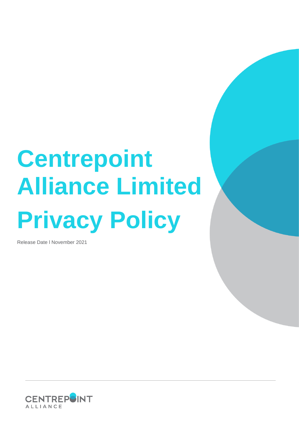# **Centrepoint Alliance Limited Privacy Policy**

Release Date l November 2021

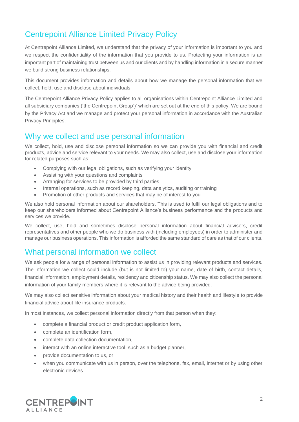# Centrepoint Alliance Limited Privacy Policy

At Centrepoint Alliance Limited, we understand that the privacy of your information is important to you and we respect the confidentiality of the information that you provide to us. Protecting your information is an important part of maintaining trust between us and our clients and by handling information in a secure manner we build strong business relationships.

This document provides information and details about how we manage the personal information that we collect, hold, use and disclose about individuals.

The Centrepoint Alliance Privacy Policy applies to all organisations within Centrepoint Alliance Limited and all subsidiary companies ('the Centrepoint Group')' which are set out at the end of this policy. We are bound by the Privacy Act and we manage and protect your personal information in accordance with the Australian Privacy Principles.

#### Why we collect and use personal information

We collect, hold, use and disclose personal information so we can provide you with financial and credit products, advice and service relevant to your needs. We may also collect, use and disclose your information for related purposes such as:

- Complying with our legal obligations, such as verifying your identity
- Assisting with your questions and complaints
- Arranging for services to be provided by third parties
- Internal operations, such as record keeping, data analytics, auditing or training
- Promotion of other products and services that may be of interest to you

We also hold personal information about our shareholders. This is used to fulfil our legal obligations and to keep our shareholders informed about Centrepoint Alliance's business performance and the products and services we provide.

We collect, use, hold and sometimes disclose personal information about financial advisers, credit representatives and other people who we do business with (including employees) in order to administer and manage our business operations. This information is afforded the same standard of care as that of our clients.

## What personal information we collect

We ask people for a range of personal information to assist us in providing relevant products and services. The information we collect could include (but is not limited to) your name, date of birth, contact details, financial information, employment details, residency and citizenship status. We may also collect the personal information of your family members where it is relevant to the advice being provided.

We may also collect sensitive information about your medical history and their health and lifestyle to provide financial advice about life insurance products.

In most instances, we collect personal information directly from that person when they:

- complete a financial product or credit product application form,
- complete an identification form,
- complete data collection documentation,
- interact with an online interactive tool, such as a budget planner,
- provide documentation to us, or
- when you communicate with us in person, over the telephone, fax, email, internet or by using other electronic devices.

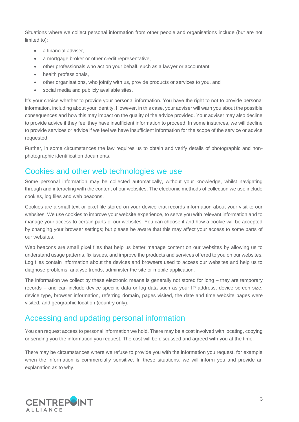Situations where we collect personal information from other people and organisations include (but are not limited to):

- a financial adviser.
- a mortgage broker or other credit representative,
- other professionals who act on your behalf, such as a lawyer or accountant,
- health professionals,
- other organisations, who jointly with us, provide products or services to you, and
- social media and publicly available sites.

It's your choice whether to provide your personal information. You have the right to not to provide personal information, including about your identity. However, in this case, your adviser will warn you about the possible consequences and how this may impact on the quality of the advice provided. Your adviser may also decline to provide advice if they feel they have insufficient information to proceed. In some instances, we will decline to provide services or advice if we feel we have insufficient information for the scope of the service or advice requested.

Further, in some circumstances the law requires us to obtain and verify details of photographic and nonphotographic identification documents.

#### Cookies and other web technologies we use

Some personal information may be collected automatically, without your knowledge, whilst navigating through and interacting with the content of our websites. The electronic methods of collection we use include cookies, log files and web beacons.

Cookies are a small text or pixel file stored on your device that records information about your visit to our websites. We use cookies to improve your website experience, to serve you with relevant information and to manage your access to certain parts of our websites. You can choose if and how a cookie will be accepted by changing your browser settings; but please be aware that this may affect your access to some parts of our websites.

Web beacons are small pixel files that help us better manage content on our websites by allowing us to understand usage patterns, fix issues, and improve the products and services offered to you on our websites. Log files contain information about the devices and browsers used to access our websites and help us to diagnose problems, analyse trends, administer the site or mobile application.

The information we collect by these electronic means is generally not stored for long – they are temporary records – and can include device-specific data or log data such as your IP address, device screen size, device type, browser information, referring domain, pages visited, the date and time website pages were visited, and geographic location (country only).

#### Accessing and updating personal information

You can request access to personal information we hold. There may be a cost involved with locating, copying or sending you the information you request. The cost will be discussed and agreed with you at the time.

There may be circumstances where we refuse to provide you with the information you request, for example when the information is commercially sensitive. In these situations, we will inform you and provide an explanation as to why.

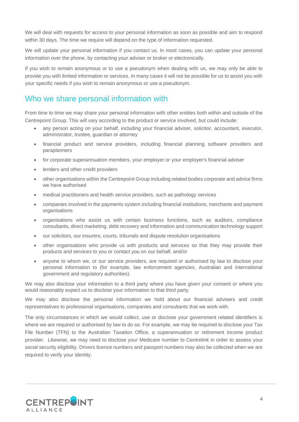We will deal with requests for access to your personal information as soon as possible and aim to respond within 30 days. The time we require will depend on the type of information requested.

We will update your personal information if you contact us. In most cases, you can update your personal information over the phone, by contacting your adviser or broker or electronically.

If you wish to remain anonymous or to use a pseudonym when dealing with us, we may only be able to provide you with limited information or services. In many cases it will not be possible for us to assist you with your specific needs if you wish to remain anonymous or use a pseudonym.

### Who we share personal information with

From time to time we may share your personal information with other entities both within and outside of the Centrepoint Group. This will vary according to the product or service involved, but could include:

- any person acting on your behalf, including your financial adviser, solicitor, accountant, executor, administrator, trustee, guardian or attorney
- financial product and service providers, including financial planning software providers and paraplanners
- for corporate superannuation members, your employer or your employer's financial adviser
- lenders and other credit providers
- other organisations within the Centrepoint Group including related bodies corporate and advice firms we have authorised
- medical practitioners and health service providers, such as pathology services
- companies involved in the payments system including financial institutions, merchants and payment organisations
- organisations who assist us with certain business functions, such as auditors, compliance consultants, direct marketing, debt recovery and information and communication technology support
- our solicitors, our insurers, courts, tribunals and dispute resolution organisations
- other organisations who provide us with products and services so that they may provide their products and services to you or contact you on our behalf, and/or
- anyone to whom we, or our service providers, are required or authorised by law to disclose your personal information to (for example, law enforcement agencies, Australian and international government and regulatory authorities).

We may also disclose your information to a third party where you have given your consent or where you would reasonably expect us to disclose your information to that third party.

We may also disclose the personal information we hold about our financial advisers and credit representatives to professional organisations, companies and consultants that we work with.

The only circumstances in which we would collect, use or disclose your government related identifiers is where we are required or authorised by law to do so. For example, we may be required to disclose your Tax File Number (TFN) to the Australian Taxation Office, a superannuation or retirement income product provider. Likewise, we may need to disclose your Medicare number to Centrelink in order to assess your social security eligibility. Drivers licence numbers and passport numbers may also be collected when we are required to verify your identity.

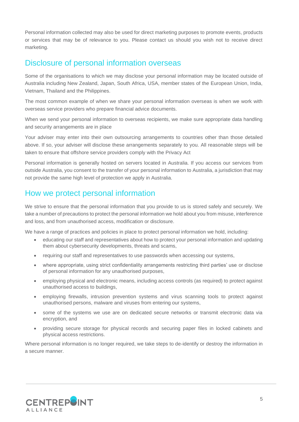Personal information collected may also be used for direct marketing purposes to promote events, products or services that may be of relevance to you. Please contact us should you wish not to receive direct marketing.

#### Disclosure of personal information overseas

Some of the organisations to which we may disclose your personal information may be located outside of Australia including New Zealand, Japan, South Africa, USA, member states of the European Union, India, Vietnam, Thailand and the Philippines.

The most common example of when we share your personal information overseas is when we work with overseas service providers who prepare financial advice documents.

When we send your personal information to overseas recipients, we make sure appropriate data handling and security arrangements are in place

Your adviser may enter into their own outsourcing arrangements to countries other than those detailed above. If so, your adviser will disclose these arrangements separately to you. All reasonable steps will be taken to ensure that offshore service providers comply with the Privacy Act

Personal information is generally hosted on servers located in Australia. If you access our services from outside Australia, you consent to the transfer of your personal information to Australia, a jurisdiction that may not provide the same high level of protection we apply in Australia.

## How we protect personal information

We strive to ensure that the personal information that you provide to us is stored safely and securely. We take a number of precautions to protect the personal information we hold about you from misuse, interference and loss, and from unauthorised access, modification or disclosure.

We have a range of practices and policies in place to protect personal information we hold, including:

- educating our staff and representatives about how to protect your personal information and updating them about cybersecurity developments, threats and scams,
- requiring our staff and representatives to use passwords when accessing our systems,
- where appropriate, using strict confidentiality arrangements restricting third parties' use or disclose of personal information for any unauthorised purposes,
- employing physical and electronic means, including access controls (as required) to protect against unauthorised access to buildings,
- employing firewalls, intrusion prevention systems and virus scanning tools to protect against unauthorised persons, malware and viruses from entering our systems,
- some of the systems we use are on dedicated secure networks or transmit electronic data via encryption, and
- providing secure storage for physical records and securing paper files in locked cabinets and physical access restrictions.

Where personal information is no longer required, we take steps to de-identify or destroy the information in a secure manner.

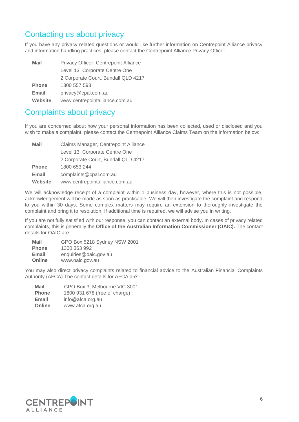## Contacting us about privacy

If you have any privacy related questions or would like further information on Centrepoint Alliance privacy and information handling practices, please contact the Centrepoint Alliance Privacy Officer.

| <b>Mail</b>  | Privacy Officer, Centrepoint Alliance |  |
|--------------|---------------------------------------|--|
|              | Level 13, Corporate Centre One        |  |
|              | 2 Corporate Court, Bundall QLD 4217   |  |
| <b>Phone</b> | 1300 557 598                          |  |
| Email        | privacy@cpal.com.au                   |  |
| Website      | www.centrepointalliance.com.au        |  |

## Complaints about privacy

If you are concerned about how your personal information has been collected, used or disclosed and you wish to make a complaint, please contact the Centrepoint Alliance Claims Team on the information below:

| <b>Mail</b>    | Claims Manager, Centrepoint Alliance |  |
|----------------|--------------------------------------|--|
|                | Level 13, Corporate Centre One       |  |
|                | 2 Corporate Court, Bundall QLD 4217  |  |
| <b>Phone</b>   | 1800 653 244                         |  |
| Email          | complaints@cpal.com.au               |  |
| <b>Website</b> | www.centrepointalliance.com.au       |  |

We will acknowledge receipt of a complaint within 1 business day, however, where this is not possible, acknowledgement will be made as soon as practicable. We will then investigate the complaint and respond to you within 30 days. Some complex matters may require an extension to thoroughly investigate the complaint and bring it to resolution. If additional time is required, we will advise you in writing.

If you are not fully satisfied with our response, you can contact an external body. In cases of privacy related complaints, this is generally the **Office of the Australian Information Commissioner (OAIC).** The contact details for OAIC are:

| <b>Mail</b>  | GPO Box 5218 Sydney NSW 2001 |
|--------------|------------------------------|
| <b>Phone</b> | 1300 363 992                 |
| Email        | enquiries@oaic.gov.au        |
| Online       | www.oaic.gov.au              |

You may also direct privacy complaints related to financial advice to the Australian Financial Complaints Authority (AFCA) The contact details for AFCA are:

| Mail         | GPO Box 3, Melbourne VIC 3001 |
|--------------|-------------------------------|
| <b>Phone</b> | 1800 931 678 (free of charge) |
| Email        | info@afca.org.au              |
| Online       | www.afca.org.au               |